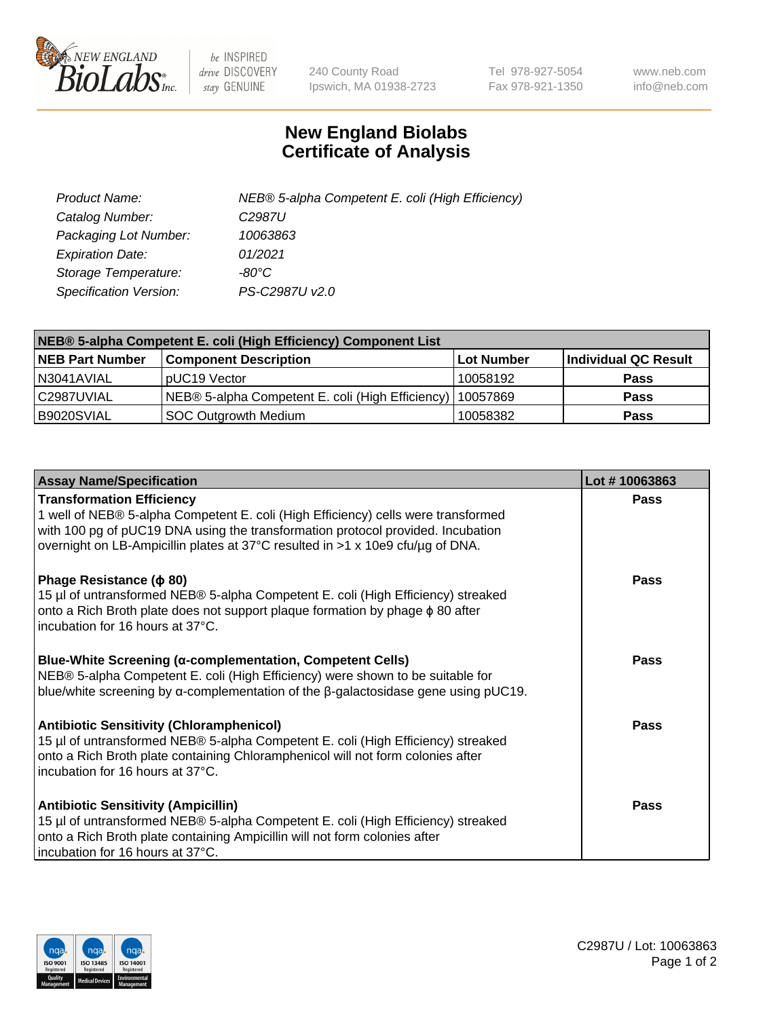

 $be$  INSPIRED drive DISCOVERY stay GENUINE

240 County Road Ipswich, MA 01938-2723 Tel 978-927-5054 Fax 978-921-1350 www.neb.com info@neb.com

## **New England Biolabs Certificate of Analysis**

| Product Name:           | NEB® 5-alpha Competent E. coli (High Efficiency) |
|-------------------------|--------------------------------------------------|
| Catalog Number:         | C <sub>2987</sub> U                              |
| Packaging Lot Number:   | 10063863                                         |
| <b>Expiration Date:</b> | 01/2021                                          |
| Storage Temperature:    | -80°C                                            |
| Specification Version:  | PS-C2987U v2.0                                   |

| NEB® 5-alpha Competent E. coli (High Efficiency) Component List |                                                  |            |                      |  |
|-----------------------------------------------------------------|--------------------------------------------------|------------|----------------------|--|
| <b>NEB Part Number</b>                                          | <b>Component Description</b>                     | Lot Number | Individual QC Result |  |
| N3041AVIAL                                                      | pUC19 Vector                                     | 10058192   | <b>Pass</b>          |  |
| C2987UVIAL                                                      | NEB® 5-alpha Competent E. coli (High Efficiency) | 10057869   | <b>Pass</b>          |  |
| B9020SVIAL                                                      | <b>SOC Outgrowth Medium</b>                      | 10058382   | <b>Pass</b>          |  |

| <b>Assay Name/Specification</b>                                                                                                                                                                                                                                                            | Lot #10063863 |
|--------------------------------------------------------------------------------------------------------------------------------------------------------------------------------------------------------------------------------------------------------------------------------------------|---------------|
| <b>Transformation Efficiency</b><br>1 well of NEB® 5-alpha Competent E. coli (High Efficiency) cells were transformed<br>with 100 pg of pUC19 DNA using the transformation protocol provided. Incubation<br>overnight on LB-Ampicillin plates at 37°C resulted in >1 x 10e9 cfu/µg of DNA. | <b>Pass</b>   |
| Phage Resistance ( $\phi$ 80)<br>15 µl of untransformed NEB® 5-alpha Competent E. coli (High Efficiency) streaked<br>onto a Rich Broth plate does not support plaque formation by phage $\phi$ 80 after<br>incubation for 16 hours at 37°C.                                                | Pass          |
| Blue-White Screening (α-complementation, Competent Cells)<br>NEB® 5-alpha Competent E. coli (High Efficiency) were shown to be suitable for<br>blue/white screening by $\alpha$ -complementation of the $\beta$ -galactosidase gene using pUC19.                                           | <b>Pass</b>   |
| <b>Antibiotic Sensitivity (Chloramphenicol)</b><br>15 µl of untransformed NEB® 5-alpha Competent E. coli (High Efficiency) streaked<br>onto a Rich Broth plate containing Chloramphenicol will not form colonies after<br>incubation for 16 hours at 37°C.                                 | Pass          |
| <b>Antibiotic Sensitivity (Ampicillin)</b><br>15 µl of untransformed NEB® 5-alpha Competent E. coli (High Efficiency) streaked<br>onto a Rich Broth plate containing Ampicillin will not form colonies after<br>incubation for 16 hours at 37°C.                                           | Pass          |